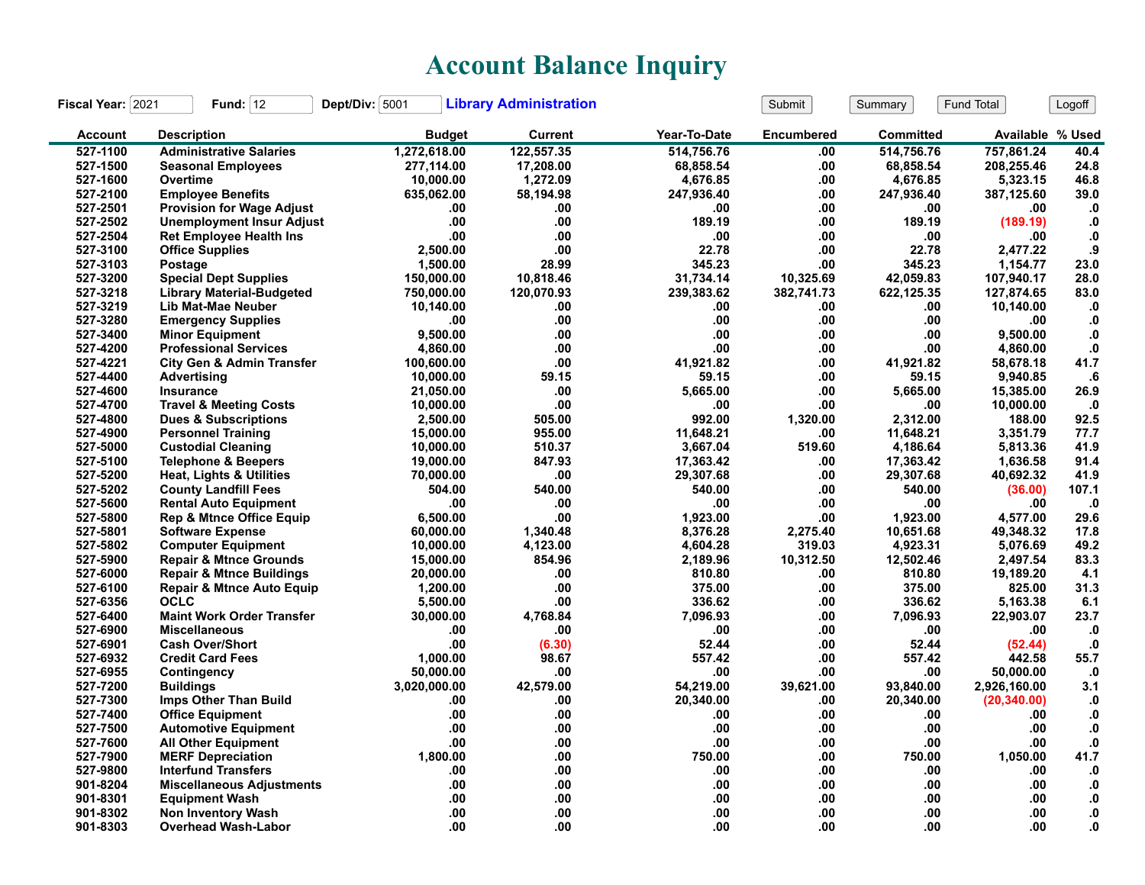## **Account Balance Inquiry**

| Fiscal Year: 2021 | Fund: $12$                           | Dept/Div: 5001 | <b>Library Administration</b> |              | Submit            | Summary          | <b>Fund Total</b> | Logoff        |
|-------------------|--------------------------------------|----------------|-------------------------------|--------------|-------------------|------------------|-------------------|---------------|
| <b>Account</b>    | <b>Description</b>                   | <b>Budget</b>  | <b>Current</b>                | Year-To-Date | <b>Encumbered</b> | <b>Committed</b> | Available % Used  |               |
| 527-1100          | <b>Administrative Salaries</b>       | 1,272,618.00   | 122,557.35                    | 514,756.76   | .00               | 514,756.76       | 757,861.24        | 40.4          |
| 527-1500          | <b>Seasonal Employees</b>            | 277,114.00     | 17,208.00                     | 68,858.54    | .00               | 68,858.54        | 208,255.46        | 24.8          |
| 527-1600          | Overtime                             | 10,000.00      | 1,272.09                      | 4,676.85     | .00               | 4,676.85         | 5,323.15          | 46.8          |
| 527-2100          | <b>Employee Benefits</b>             | 635,062.00     | 58,194.98                     | 247,936.40   | .00.              | 247,936.40       | 387,125.60        | 39.0          |
| 527-2501          | <b>Provision for Wage Adjust</b>     | .00            | .00                           | .00          | .00               | .00              | .00               | $\mathbf{0}$  |
| 527-2502          | <b>Unemployment Insur Adjust</b>     | .00            | .00                           | 189.19       | .00               | 189.19           | (189.19)          | $\mathbf{0}$  |
| 527-2504          | <b>Ret Employee Health Ins</b>       | .00            | .00                           | .00          | .00               | .00              | .00               | $\cdot$ 0     |
| 527-3100          | <b>Office Supplies</b>               | 2,500.00       | .00                           | 22.78        | .00               | 22.78            | 2,477.22          | .9            |
| 527-3103          | Postage                              | 1,500.00       | 28.99                         | 345.23       | .00               | 345.23           | 1,154.77          | 23.0          |
| 527-3200          | <b>Special Dept Supplies</b>         | 150,000.00     | 10,818.46                     | 31.734.14    | 10,325.69         | 42,059.83        | 107,940.17        | 28.0          |
| 527-3218          | <b>Library Material-Budgeted</b>     | 750,000.00     | 120,070.93                    | 239,383.62   | 382,741.73        | 622,125.35       | 127,874.65        | 83.0          |
| 527-3219          | Lib Mat-Mae Neuber                   | 10,140.00      | .00                           | .00          | .00               | .00              | 10,140.00         | $\mathbf{.0}$ |
| 527-3280          | <b>Emergency Supplies</b>            | .00            | .00                           | .00          | .00               | .00              | .00               | $\mathbf{.0}$ |
| 527-3400          | <b>Minor Equipment</b>               | 9,500.00       | .00                           | .00          | .00               | .00              | 9,500.00          | $\mathbf{0}$  |
| 527-4200          | <b>Professional Services</b>         | 4,860.00       | .00                           | .00          | .00               | .00              | 4,860.00          | ${\bf .0}$    |
| 527-4221          | <b>City Gen &amp; Admin Transfer</b> | 100,600.00     | .00                           | 41,921.82    | .00.              | 41,921.82        | 58,678.18         | 41.7          |
| 527-4400          | Advertising                          | 10,000.00      | 59.15                         | 59.15        | .00               | 59.15            | 9,940.85          | .6            |
| 527-4600          | <b>Insurance</b>                     | 21,050.00      | .00                           | 5,665.00     | .00               | 5,665.00         | 15,385.00         | 26.9          |
| 527-4700          | <b>Travel &amp; Meeting Costs</b>    | 10,000.00      | .00                           | .00          | .00               | .00              | 10,000.00         | $\cdot$       |
| 527-4800          | <b>Dues &amp; Subscriptions</b>      | 2,500.00       | 505.00                        | 992.00       | 1,320.00          | 2,312.00         | 188.00            | 92.5          |
| 527-4900          | <b>Personnel Training</b>            | 15,000.00      | 955.00                        | 11,648.21    | .00               | 11,648.21        | 3,351.79          | 77.7          |
| 527-5000          | <b>Custodial Cleaning</b>            | 10,000.00      | 510.37                        | 3,667.04     | 519.60            | 4,186.64         | 5,813.36          | 41.9          |
| 527-5100          | <b>Telephone &amp; Beepers</b>       | 19,000.00      | 847.93                        | 17,363.42    | .00               | 17,363.42        | 1,636.58          | 91.4          |
| 527-5200          | <b>Heat, Lights &amp; Utilities</b>  | 70,000.00      | .00                           | 29,307.68    | .00               | 29,307.68        | 40,692.32         | 41.9          |
| 527-5202          | <b>County Landfill Fees</b>          | 504.00         | 540.00                        | 540.00       | .00.              | 540.00           | (36.00)           | 107.1         |
| 527-5600          | <b>Rental Auto Equipment</b>         | .00            | .00                           | .00          | .00               | .00              | .00               | .0            |
| 527-5800          | <b>Rep &amp; Mtnce Office Equip</b>  | 6,500.00       | .00                           | 1,923.00     | .00               | 1,923.00         | 4,577.00          | 29.6          |
| 527-5801          | <b>Software Expense</b>              | 60,000.00      | 1.340.48                      | 8.376.28     | 2,275.40          | 10.651.68        | 49,348.32         | 17.8          |
| 527-5802          | <b>Computer Equipment</b>            | 10,000.00      | 4,123.00                      | 4,604.28     | 319.03            | 4,923.31         | 5,076.69          | 49.2          |
| 527-5900          | <b>Repair &amp; Mtnce Grounds</b>    | 15,000.00      | 854.96                        | 2,189.96     | 10,312.50         | 12,502.46        | 2,497.54          | 83.3          |
| 527-6000          | <b>Repair &amp; Mtnce Buildings</b>  | 20,000.00      | .00                           | 810.80       | .00               | 810.80           | 19,189.20         | 4.1           |
| 527-6100          | <b>Repair &amp; Mtnce Auto Equip</b> | 1,200.00       | .00                           | 375.00       | .00               | 375.00           | 825.00            | 31.3          |
| 527-6356          | <b>OCLC</b>                          | 5,500.00       | .00                           | 336.62       | .00               | 336.62           | 5,163.38          | 6.1           |
| 527-6400          | <b>Maint Work Order Transfer</b>     | 30,000.00      | 4,768.84                      | 7,096.93     | .00               | 7,096.93         | 22,903.07         | 23.7          |
| 527-6900          | <b>Miscellaneous</b>                 | .00            | .00                           | .00          | .00               | .00              | .00               | $\cdot$ 0     |
| 527-6901          | <b>Cash Over/Short</b>               | .00            | (6.30)                        | 52.44        | .00               | 52.44            | (52.44)           | $\mathbf{0}$  |
| 527-6932          | <b>Credit Card Fees</b>              | 1,000.00       | 98.67                         | 557.42       | .00.              | 557.42           | 442.58            | 55.7          |
| 527-6955          | Contingency                          | 50,000.00      | .00                           | .00          | .00               | .00              | 50,000.00         | $\cdot$ 0     |
| 527-7200          | <b>Buildings</b>                     | 3,020,000.00   | 42,579.00                     | 54,219.00    | 39,621.00         | 93,840.00        | 2,926,160.00      | 3.1           |
| 527-7300          | Imps Other Than Build                | .00            | .00                           | 20,340.00    | .00               | 20,340.00        | (20, 340.00)      | ${\bf .0}$    |
| 527-7400          | <b>Office Equipment</b>              | .00            | .00                           | .00          | .00               | .00              | .00               | $\mathbf{.0}$ |
| 527-7500          | <b>Automotive Equipment</b>          | .00            | .00                           | .00          | .00               | .00              | .00               | ${\bf .0}$    |
| 527-7600          | <b>All Other Equipment</b>           | .00            | .00                           | .00          | .00               | .00              | .00               | ${\bf .0}$    |
| 527-7900          | <b>MERF Depreciation</b>             | 1,800.00       | .00                           | 750.00       | .00               | 750.00           | 1,050.00          | 41.7          |
| 527-9800          | <b>Interfund Transfers</b>           | .00            | .00                           | .00.         | .00               | .00              | .00               | $\cdot$       |
| 901-8204          | <b>Miscellaneous Adjustments</b>     | .00            | .00                           | .00          | .00               | .00              | .00               | ${\bf .0}$    |
| 901-8301          | <b>Equipment Wash</b>                | .00            | .00                           | .00          | .00               | .00              | .00               | $\mathbf{0}$  |
| 901-8302          | <b>Non Inventory Wash</b>            | .00            | .00                           | .00          | .00               | .00              | .00               | 0.            |
| 901-8303          | <b>Overhead Wash-Labor</b>           | .00            | .00                           | .00          | .00.              | .00              | .00               | 0.            |